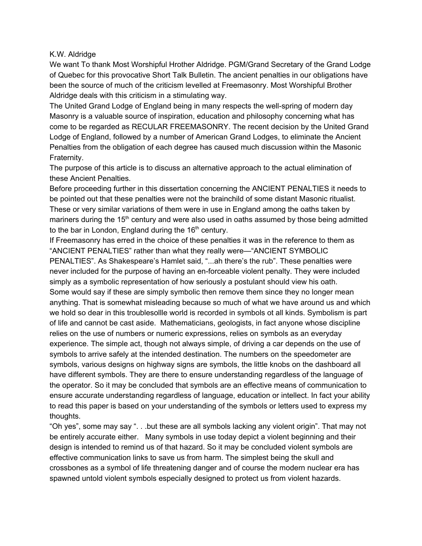## K.W. Aldridge

We want To thank Most Worshipful Hrother Aldridge. PGM/Grand Secretary of the Grand Lodge of Quebec for this provocative Short Talk Bulletin. The ancient penalties in our obligations have been the source of much of the criticism levelled at Freemasonry. Most Worshipful Brother Aldridge deals with this criticism in a stimulating way.

The United Grand Lodge of England being in many respects the well-spring of modern day Masonry is a valuable source of inspiration, education and philosophy concerning what has come to be regarded as RECULAR FREEMASONRY. The recent decision by the United Grand Lodge of England, followed by a number of American Grand Lodges, to eliminate the Ancient Penalties from the obligation of each degree has caused much discussion within the Masonic Fraternity.

The purpose of this article is to discuss an alternative approach to the actual elimination of these Ancient Penalties.

Before proceeding further in this dissertation concerning the ANCIENT PENALTIES it needs to be pointed out that these penalties were not the brainchild of some distant Masonic ritualist. These or very similar variations of them were in use in England among the oaths taken by mariners during the 15<sup>th</sup> century and were also used in oaths assumed by those being admitted to the bar in London, England during the  $16<sup>th</sup>$  century.

If Freemasonry has erred in the choice of these penalties it was in the reference to them as "ANCIENT PENALTIES" rather than what they really were—"ANCIENT SYMBOLIC PENALTIES". As Shakespeare's Hamlet said, "...ah there's the rub". These penalties were never included for the purpose of having an en-forceable violent penalty. They were included simply as a symbolic representation of how seriously a postulant should view his oath. Some would say if these are simply symbolic then remove them since they no longer mean anything. That is somewhat misleading because so much of what we have around us and which we hold so dear in this troublesollle world is recorded in symbols ot all kinds. Symbolism is part of life and cannot be cast aside. Mathematicians, geologists, in fact anyone whose discipline relies on the use of numbers or numeric expressions, relies on symbols as an everyday experience. The simple act, though not always simple, of driving a car depends on the use of symbols to arrive safely at the intended destination. The numbers on the speedometer are symbols, various designs on highway signs are symbols, the little knobs on the dashboard all have different symbols. They are there to ensure understanding regardless of the language of the operator. So it may be concluded that symbols are an effective means of communication to ensure accurate understanding regardless of language, education or intellect. In fact your ability to read this paper is based on your understanding of the symbols or letters used to express my thoughts.

"Oh yes", some may say ". . .but these are all symbols lacking any violent origin". That may not be entirely accurate either. Many symbols in use today depict a violent beginning and their design is intended to remind us of that hazard. So it may be concluded violent symbols are effective communication links to save us from harm. The simplest being the skull and crossbones as a symbol of life threatening danger and of course the modern nuclear era has spawned untold violent symbols especially designed to protect us from violent hazards.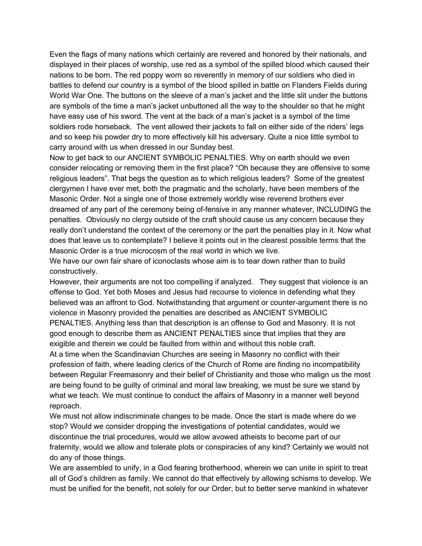Even the flags of many nations which certainly are revered and honored by their nationals, and displayed in their places of worship, use red as a symbol of the spilled blood which caused their nations to be born. The red poppy worn so reverently in memory of our soldiers who died in battles to defend our country is a symbol of the blood spilled in battle on Flanders Fields during World War One. The buttons on the sleeve of a man's jacket and the little slit under the buttons are symbols of the time a man's jacket unbuttoned all the way to the shoulder so that he might have easy use of his sword. The vent at the back of a man's jacket is a symbol of the time soldiers rode horseback. The vent allowed their jackets to fall on either side of the riders' legs and so keep his powder dry to more effectively kill his adversary. Quite a nice little symbol to carry around with us when dressed in our Sunday best.

Now to get back to our ANCIENT SYMBOLIC PENALTIES. Why on earth should we even consider relocating or removing them in the first place? "Oh because they are offensive to some religious leaders". That begs the question as to which religious leaders? Some of the greatest clergymen I have ever met, both the pragmatic and the scholarly, have been members of the Masonic Order. Not a single one of those extremely worldly wise reverend brothers ever dreamed of any part of the ceremony being of-fensive in any manner whatever, INCLUDING the penalties. Obviously no clergy outside of the craft should cause us any concern because they really don't understand the context of the ceremony or the part the penalties play in it. Now what does that leave us to contemplate? I believe it points out in the clearest possible terms that the Masonic Order is a true microcosm of the real world in which we live.

We have our own fair share of iconoclasts whose aim is to tear down rather than to build constructively.

However, their arguments are not too compelling if analyzed. They suggest that violence is an offense to God. Yet both Moses and Jesus had recourse to violence in defending what they believed was an affront to God. Notwithstanding that argument or counter-argument there is no violence in Masonry provided the penalties are described as ANCIENT SYMBOLIC PENALTIES. Anything less than that description is an offense to God and Masonry. It is not good enough to describe them as ANCIENT PENALTIES since that implies that they are exigible and therein we could be faulted from within and without this noble craft.

At a time when the Scandinavian Churches are seeing in Masonry no conflict with their profession of faith, where leading clerics of the Church of Rome are finding no incompatibility between Regular Freemasonry and their belief of Christianity and those who malign us the most are being found to be guilty of criminal and moral law breaking, we must be sure we stand by what we teach. We must continue to conduct the affairs of Masonry in a manner well beyond reproach.

We must not allow indiscriminate changes to be made. Once the start is made where do we stop? Would we consider dropping the investigations of potential candidates, would we discontinue the trial procedures, would we allow avowed atheists to become part of our fraternity, would we allow and tolerate plots or conspiracies of any kind? Certainly we would not do any of those things.

We are assembled to unify, in a God fearing brotherhood, wherein we can unite in spirit to treat all of God's children as family. We cannot do that effectively by allowing schisms to develop. We must be unified for the benefit, not solely for our Order, but to better serve mankind in whatever